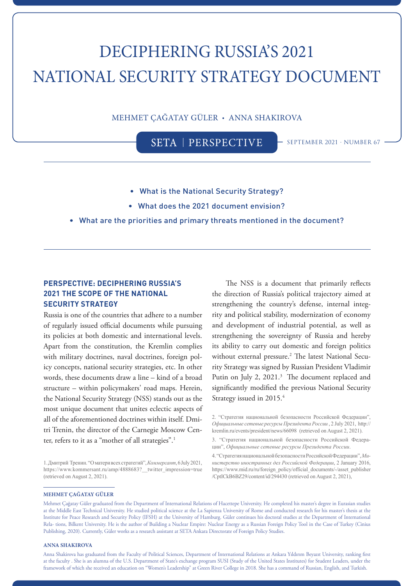# DECIPHERING RUSSIA'S 2021 NATIONAL SECURITY STRATEGY DOCUMENT

MEHMET ÇAĞATAY GÜLER • ANNA SHAKIROVA

SETA | PERSPECTIVE - SEPTEMBER 2021 · NUMBER 67

- What is the National Security Strategy?
- What does the 2021 document envision?
- What are the priorities and primary threats mentioned in the document?

## **PERSPECTIVE: DECIPHERING RUSSIA'S 2021 THE SCOPE OF THE NATIONAL SECURITY STRATEGY**

Russia is one of the countries that adhere to a number of regularly issued official documents while pursuing its policies at both domestic and international levels. Apart from the constitution, the Kremlin complies with military doctrines, naval doctrines, foreign policy concepts, national security strategies, etc. In other words, these documents draw a line – kind of a broad structure – within policymakers' road maps. Herein, the National Security Strategy (NSS) stands out as the most unique document that unites eclectic aspects of all of the aforementioned doctrines within itself. Dmitri Trenin, the director of the Carnegie Moscow Center, refers to it as a "mother of all strategies".<sup>1</sup>

1. Дмитрий Тренин. "О матери всех стратегий", *Коммерсант*, 6 July 2021, https://www.kommersant.ru/amp/4888683?\_\_twitter\_impression=true (retrieved on August 2, 2021).

The NSS is a document that primarily reflects the direction of Russia's political trajectory aimed at strengthening the country's defense, internal integrity and political stability, modernization of economy and development of industrial potential, as well as strengthening the sovereignty of Russia and hereby its ability to carry out domestic and foreign politics without external pressure.<sup>2</sup> The latest National Security Strategy was signed by Russian President Vladimir Putin on July 2, 2021.<sup>3</sup> The document replaced and significantly modified the previous National Security Strategy issued in 2015.4

2. "Стратегия национальной безопасности Российской Федерации", *Официальные сетевые ресурсы Президента России* , 2 July 2021, http:// kremlin.ru/events/president/news/66098 (retrieved on August 2, 2021).

#### **MEHMET ÇAĞATAY GÜLER**

Mehmet Çağatay Güler graduated from the Department of International Relations of Hacettepe University. He completed his master's degree in Eurasian studies at the Middle East Technical University. He studied political science at the La Sapienza University of Rome and conducted research for his master's thesis at the Institute for Peace Research and Security Policy (IFSH) at the University of Hamburg. Güler continues his doctoral studies at the Department of International Rela- tions, Bilkent University. He is the author of Building a Nuclear Empire: Nuclear Energy as a Russian Foreign Policy Tool in the Case of Turkey (Cinius Publishing, 2020). Currently, Güler works as a research assistant at SETA Ankara Directorate of Foreign Policy Studies.

### **ANNA SHAKIROVA**

Anna Shakirova has graduated from the Faculty of Political Sciences, Department of International Relations at Ankara Yıldırım Beyazıt University, ranking first at the faculty . She is an alumna of the U.S. Department of State's exchange program SUSI (Study of the United States Institutes) for Student Leaders, under the framework of which she received an education on "Women's Leadership" at Green River College in 2018. She has a command of Russian, English, and Turkish.

<sup>3. &</sup>quot;Стратегия национальной безопасности Российской Федерации", *Официальные сетевые ресурсы Президента России*.

<sup>4. &</sup>quot;Стратегия национальной безопасности Российской Федерации", *Министерство иностранных дел Российской Федерации*, 2 January 2016, https://www.mid.ru/ru/foreign\_policy/official\_documents/-/asset\_publisher /CptICkB6BZ29/content/id/294430 (retrieved on August 2, 2021),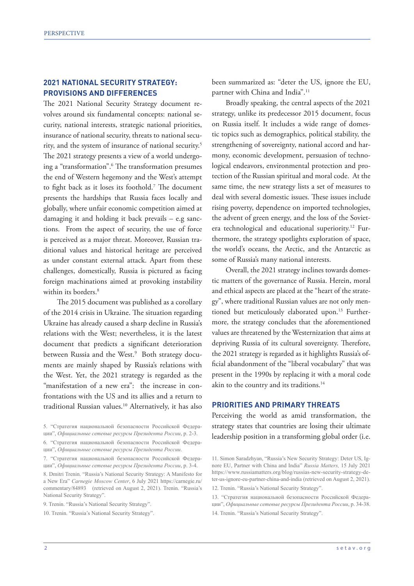## **2021 NATIONAL SECURITY STRATEGY: PROVISIONS AND DIFFERENCES**

The 2021 National Security Strategy document revolves around six fundamental concepts: national security, national interests, strategic national priorities, insurance of national security, threats to national security, and the system of insurance of national security.<sup>5</sup> The 2021 strategy presents a view of a world undergoing a "transformation".6 The transformation presumes the end of Western hegemony and the West's attempt to fight back as it loses its foothold.7 The document presents the hardships that Russia faces locally and globally, where unfair economic competition aimed at damaging it and holding it back prevails – e.g sanctions. From the aspect of security, the use of force is perceived as a major threat. Moreover, Russian traditional values and historical heritage are perceived as under constant external attack. Apart from these challenges, domestically, Russia is pictured as facing foreign machinations aimed at provoking instability within its borders.<sup>8</sup>

The 2015 document was published as a corollary of the 2014 crisis in Ukraine. The situation regarding Ukraine has already caused a sharp decline in Russia's relations with the West; nevertheless, it is the latest document that predicts a significant deterioration between Russia and the West.<sup>9</sup> Both strategy documents are mainly shaped by Russia's relations with the West. Yet, the 2021 strategy is regarded as the "manifestation of a new era": the increase in confrontations with the US and its allies and a return to traditional Russian values.<sup>10</sup> Alternatively, it has also been summarized as: "deter the US, ignore the EU, partner with China and India".<sup>11</sup>

Broadly speaking, the central aspects of the 2021 strategy, unlike its predecessor 2015 document, focus on Russia itself. It includes a wide range of domestic topics such as demographics, political stability, the strengthening of sovereignty, national accord and harmony, economic development, persuasion of technological endeavors, environmental protection and protection of the Russian spiritual and moral code. At the same time, the new strategy lists a set of measures to deal with several domestic issues. These issues include rising poverty, dependence on imported technologies, the advent of green energy, and the loss of the Sovietera technological and educational superiority.12 Furthermore, the strategy spotlights exploration of space, the world's oceans, the Arctic, and the Antarctic as some of Russia's many national interests.

Overall, the 2021 strategy inclines towards domestic matters of the governance of Russia. Herein, moral and ethical aspects are placed at the "heart of the strategy", where traditional Russian values are not only mentioned but meticulously elaborated upon.<sup>13</sup> Furthermore, the strategy concludes that the aforementioned values are threatened by the Westernization that aims at depriving Russia of its cultural sovereignty. Therefore, the 2021 strategy is regarded as it highlights Russia's official abandonment of the "liberal vocabulary" that was present in the 1990s by replacing it with a moral code akin to the country and its traditions.<sup>14</sup>

## **PRIORITIES AND PRIMARY THREATS**

Perceiving the world as amid transformation, the strategy states that countries are losing their ultimate leadership position in a transforming global order (i.e.

<sup>5</sup>. "Стратегия национальной безопасности Российской Федерации", *Официальные сетевые ресурсы Президента России*, p. 2-3.

<sup>6. &</sup>quot;Стратегия национальной безопасности Российской Федерации", *Официальные сетевые ресурсы Президента России*.

<sup>7</sup>. "Стратегия национальной безопасности Российской Федерации", *Официальные сетевые ресурсы Президента России*, p. 3-4.

<sup>8.</sup> Dmitri Trenin. "Russia's National Security Strategy: A Manifesto for a New Era" *Carnegie Moscow Center*, 6 July 2021 https://carnegie.ru/ commentary/84893 (retrieved on August 2, 2021). Trenin. "Russia's National Security Strategy".

<sup>9.</sup> Trenin. "Russia's National Security Strategy".

<sup>10.</sup> Trenin. "Russia's National Security Strategy".

<sup>11</sup>. Simon Saradzhyan, "Russia's New Security Strategy: Deter US, Ignore EU, Partner with China and India" *Russia Matters,* 15 July 2021 https://www.russiamatters.org/blog/russias-new-security-strategy-deter-us-ignore-eu-partner-china-and-india (retrieved on August 2, 2021). 12. Trenin. "Russia's National Security Strategy".

<sup>13. &</sup>quot;Стратегия национальной безопасности Российской Федерации", *Официальные сетевые ресурсы Президента России*, p. 34-38. 14. Trenin. "Russia's National Security Strategy".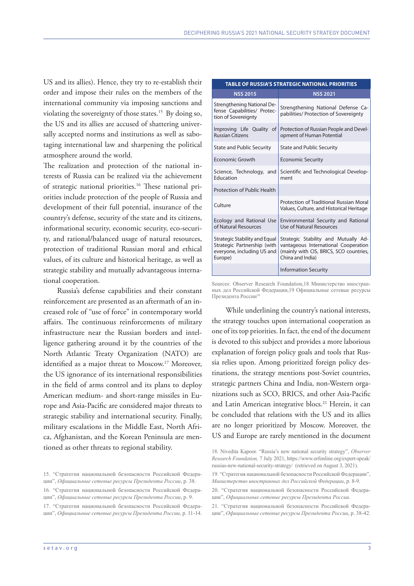US and its allies). Hence, they try to re-establish their order and impose their rules on the members of the international community via imposing sanctions and violating the sovereignty of those states.<sup>15</sup> By doing so, the US and its allies are accused of shattering universally accepted norms and institutions as well as sabotaging international law and sharpening the political atmosphere around the world.

The realization and protection of the national interests of Russia can be realized via the achievement of strategic national priorities.16 These national priorities include protection of the people of Russia and development of their full potential, insurance of the country's defense, security of the state and its citizens, informational security, economic security, eco-security, and rational/balanced usage of natural resources, protection of traditional Russian moral and ethical values, of its culture and historical heritage, as well as strategic stability and mutually advantageous international cooperation.

Russia's defense capabilities and their constant reinforcement are presented as an aftermath of an increased role of "use of force" in contemporary world affairs. The continuous reinforcements of military infrastructure near the Russian borders and intelligence gathering around it by the countries of the North Atlantic Treaty Organization (NATO) are identified as a major threat to Moscow.<sup>17</sup> Moreover, the US ignorance of its international responsibilities in the field of arms control and its plans to deploy American medium- and short-range missiles in Europe and Asia-Pacific are considered major threats to strategic stability and international security. Finally, military escalations in the Middle East, North Africa, Afghanistan, and the Korean Peninsula are mentioned as other threats to regional stability.

| <b>TABLE OF RUSSIA'S STRATEGIC NATIONAL PRIORITIES</b>                                                |                                                                                                                                             |
|-------------------------------------------------------------------------------------------------------|---------------------------------------------------------------------------------------------------------------------------------------------|
| <b>NSS 2015</b>                                                                                       | <b>NSS 2021</b>                                                                                                                             |
| Strengthening National De-<br>fense Capabilities/ Protec-<br>tion of Sovereignty                      | Strengthening National Defense Ca-<br>pabilities/ Protection of Sovereignty                                                                 |
| Improving Life Quality of<br><b>Russian Citizens</b>                                                  | Protection of Russian People and Devel-<br>opment of Human Potential                                                                        |
| <b>State and Public Security</b>                                                                      | <b>State and Public Security</b>                                                                                                            |
| Economic Growth                                                                                       | <b>Economic Security</b>                                                                                                                    |
| Science, Technology, and<br>Education                                                                 | Scientific and Technological Develop-<br>ment                                                                                               |
| Protection of Public Health                                                                           |                                                                                                                                             |
| Culture                                                                                               | Protection of Traditional Russian Moral<br>Values, Culture, and Historical Heritage                                                         |
| Ecology and Rational Use<br>of Natural Resources                                                      | Environmental Security and Rational<br>Use of Natural Resources                                                                             |
| Strategic Stability and Equal<br>Strategic Partnership (with<br>everyone, including US and<br>Europe) | Strategic Stability and Mutually Ad-<br>vantageous International Cooperation<br>(mainly with CIS, BRICS, SCO countries,<br>China and India) |
|                                                                                                       | <b>Information Security</b>                                                                                                                 |

Sources: Observer Research Foundation,18 Министерство иностранных дел Российской Федерации,19 Официальные сетевые ресурсы Президента России<sup>20</sup>

While underlining the country's national interests, the strategy touches upon international cooperation as one of its top priorities. In fact, the end of the document is devoted to this subject and provides a more laborious explanation of foreign policy goals and tools that Russia relies upon. Among prioritized foreign policy destinations, the strategy mentions post-Soviet countries, strategic partners China and India, non-Western organizations such as SCO, BRICS, and other Asia-Pacific and Latin American integrative blocs.<sup>21</sup> Herein, it can be concluded that relations with the US and its allies are no longer prioritized by Moscow. Moreover, the US and Europe are rarely mentioned in the document

21. "Стратегия национальной безопасности Российской Федерации", *Официальные сетевые ресурсы Президента России*, p. 38-42.

<sup>15</sup>. "Стратегия национальной безопасности Российской Федерации", *Официальные сетевые ресурсы Президента России*, p. 38.

<sup>16. &</sup>quot;Стратегия национальной безопасности Российской Федерации", *Официальные сетевые ресурсы Президента России*, p. 9.

<sup>17</sup>. "Стратегия национальной безопасности Российской Федерации", *Официальные сетевые ресурсы Президента России*, p. 11-14.

<sup>18.</sup> Nivedita Kapoor. "Russia's new national security strategy", *Observer Research Foundation,* 7 July 2021, https://www.orfonline.org/expert-speak/ russias-new-national-security-strategy/ (retrieved on August 3, 2021).

<sup>19. &</sup>quot;Стратегия национальной безопасности Российской Федерации", *Министерство иностранных дел Российской Федерации*, p. 8-9.

<sup>20. &</sup>quot;Стратегия национальной безопасности Российской Федерации", *Официальные сетевые ресурсы Президента России*.